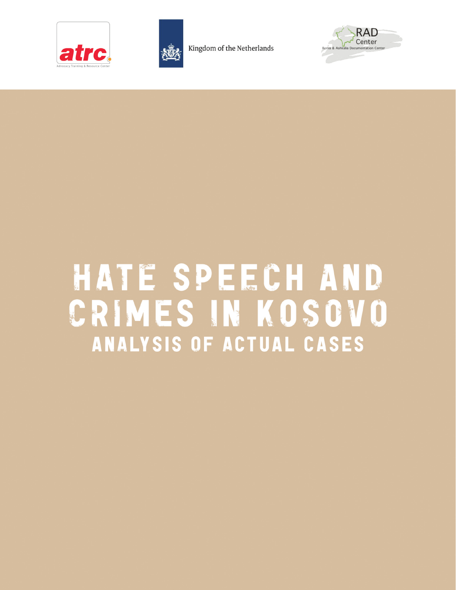



Kingdom of the Netherlands



# HATE SPEECH AND CRIMES IN KOSOVO **ANALYSIS OF ACTUAL CASES**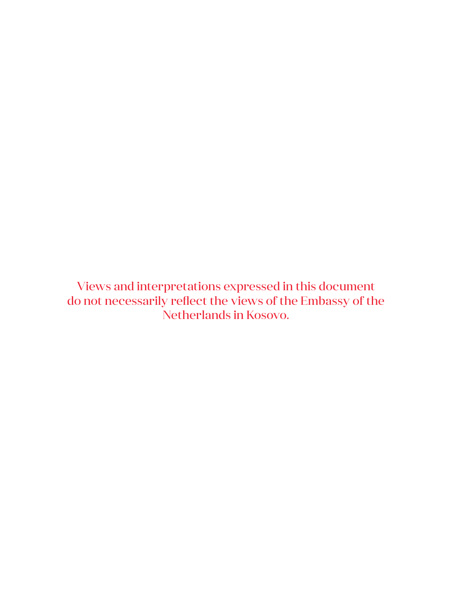Views and interpretations expressed in this document do not necessarily reflect the views of the Embassy of the Netherlands in Kosovo.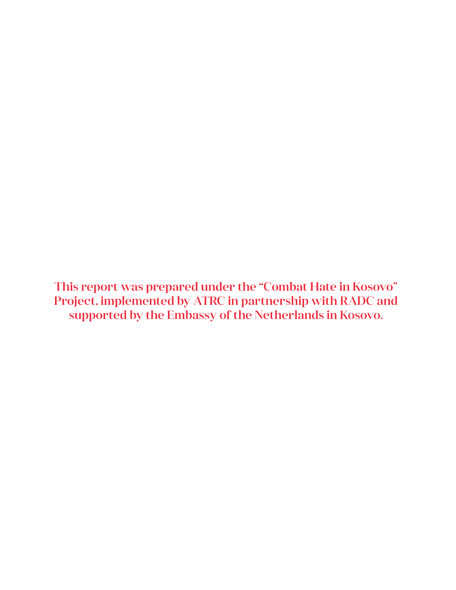This report was prepared under the "Combat Hate in Kosovo" Project, implemented by ATRC in partnership with RADC and supported by the Embassy of the Netherlands in Kosovo.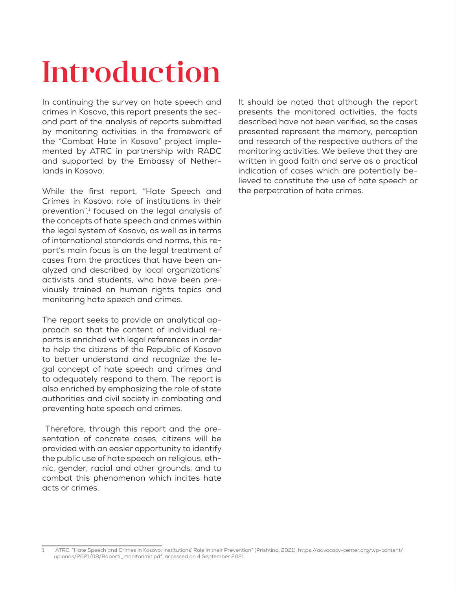# Introduction

In continuing the survey on hate speech and crimes in Kosovo, this report presents the second part of the analysis of reports submitted by monitoring activities in the framework of the "Combat Hate in Kosovo" project implemented by ATRC in partnership with RADC and supported by the Embassy of Netherlands in Kosovo.

While the first report, "Hate Speech and Crimes in Kosovo: role of institutions in their prevention",<sup>1</sup> focused on the legal analysis of the concepts of hate speech and crimes within the legal system of Kosovo, as well as in terms of international standards and norms, this report's main focus is on the legal treatment of cases from the practices that have been analyzed and described by local organizations' activists and students, who have been previously trained on human rights topics and monitoring hate speech and crimes.

The report seeks to provide an analytical approach so that the content of individual reports is enriched with legal references in order to help the citizens of the Republic of Kosovo to better understand and recognize the legal concept of hate speech and crimes and to adequately respond to them. The report is also enriched by emphasizing the role of state authorities and civil society in combating and preventing hate speech and crimes.

 Therefore, through this report and the presentation of concrete cases, citizens will be provided with an easier opportunity to identify the public use of hate speech on religious, ethnic, gender, racial and other grounds, and to combat this phenomenon which incites hate acts or crimes.

It should be noted that although the report presents the monitored activities, the facts described have not been verified, so the cases presented represent the memory, perception and research of the respective authors of the monitoring activities. We believe that they are written in good faith and serve as a practical indication of cases which are potentially believed to constitute the use of hate speech or the perpetration of hate crimes.

<sup>1</sup> ATRC, "Hate Speech and Crimes in Kosovo: Institutions' Role in their Prevention" (Prishtina, 2021), https://advocacy-center.org/wp-content/ uploads/2021/08/Raporti\_monitorimit.pdf, accessed on 4 September 2021.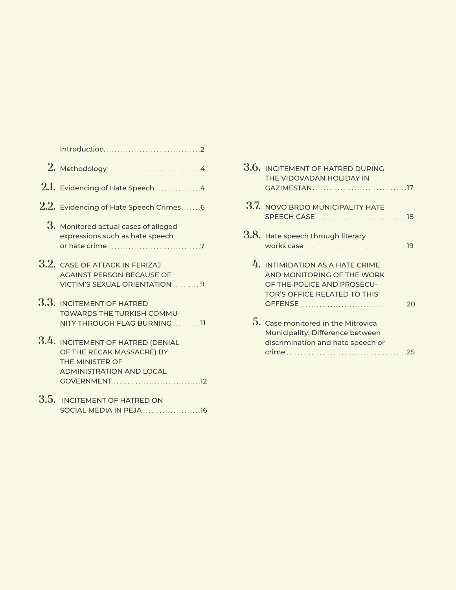|                   | $2.1.$ Evidencing of Hate Speech $\ldots \ldots \ldots \ldots \ldots$                                                |
|-------------------|----------------------------------------------------------------------------------------------------------------------|
|                   | $2.2.$ Evidencing of Hate Speech Crimes6                                                                             |
|                   | 3. Monitored actual cases of alleged<br>expressions such as hate speech                                              |
|                   | 3.2. CASE OF ATTACK IN FERIZAJ<br><b>AGAINST PERSON BECAUSE OF</b><br>VICTIM'S SEXUAL ORIENTATION 9                  |
|                   | 3.3. INCITEMENT OF HATRED<br><b>TOWARDS THE TURKISH COMMU-</b><br>NITY THROUGH FLAG BURNING11                        |
|                   | 3.4. INCITEMENT OF HATRED (DENIAL<br>OF THE RECAK MASSACRE) BY<br>THE MINISTER OF<br><b>ADMINISTRATION AND LOCAL</b> |
| $\Omega$ $\Gamma$ |                                                                                                                      |

3.5. INCITEMENT OF HATRED ON SOCIAL MEDIA IN PEJA 16

| 4<br>4 | 3.6. INCITEMENT OF HATRED DURING<br>THE VIDOVADAN HOLIDAY IN                                                                  |
|--------|-------------------------------------------------------------------------------------------------------------------------------|
| 6      | 3.7. NOVO BRDO MUNICIPALITY HATE                                                                                              |
| 7      | 3.8. Hate speech through literary                                                                                             |
| 9      | $4.$ INTIMIDATION AS A HATE CRIME<br>AND MONITORING OF THE WORK<br>OF THE POLICE AND PROSECU-<br>TOR'S OFFICE RELATED TO THIS |
| דד     | $5.$ Case monitored in the Mitrovica<br>Municipality: Difference between<br>discrimination and hate speech or                 |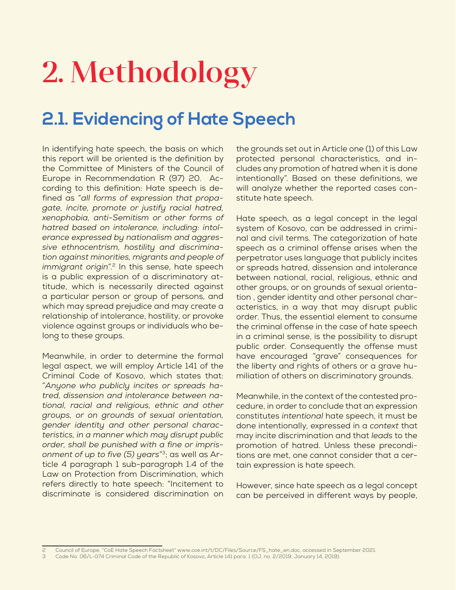# 2. Methodology

## **2.1. Evidencing of Hate Speech**

In identifying hate speech, the basis on which this report will be oriented is the definition by the Committee of Ministers of the Council of Europe in Recommendation R (97) 20. According to this definition: Hate speech is defined as "*all forms of expression that propagate, incite, promote or justify racial hatred, xenophobia, anti-Semitism or other forms of hatred based on intolerance, including: intolerance expressed by nationalism and aggressive ethnocentrism, hostility and discrimination against minorities, migrants and people of immigrant origin*".<sup>2</sup> In this sense, hate speech is a public expression of a discriminatory attitude, which is necessarily directed against a particular person or group of persons, and which may spread prejudice and may create a relationship of intolerance, hostility, or provoke violence against groups or individuals who belong to these groups.

Meanwhile, in order to determine the formal legal aspect, we will employ Article 141 of the Criminal Code of Kosovo, which states that: "*Anyone who publicly incites or spreads hatred, dissension and intolerance between national, racial and religious, ethnic and other groups, or on grounds of sexual orientation, gender identity and other personal characteristics, in a manner which may disrupt public order, shall be punished with a fine or imprisonment of up to five (5) years*"3; as well as Article 4 paragraph 1 sub-paragraph 1.4 of the Law on Protection from Discrimination, which refers directly to hate speech: "Incitement to discriminate is considered discrimination on the grounds set out in Article one (1) of this Law protected personal characteristics, and includes any promotion of hatred when it is done intentionally". Based on these definitions, we will analyze whether the reported cases constitute hate speech.

Hate speech, as a legal concept in the legal system of Kosovo, can be addressed in criminal and civil terms. The categorization of hate speech as a criminal offense arises when the perpetrator uses language that publicly incites or spreads hatred, dissension and intolerance between national, racial, religious, ethnic and other groups, or on grounds of sexual orientation , gender identity and other personal characteristics, in a way that may disrupt public order. Thus, the essential element to consume the criminal offense in the case of hate speech in a criminal sense, is the possibility to disrupt public order. Consequently the offense must have encouraged "grave" consequences for the liberty and rights of others or a grave humiliation of others on discriminatory grounds.

Meanwhile, in the context of the contested procedure, in order to conclude that an expression constitutes *intentional* hate speech, it must be done intentionally, expressed in a *context* that may incite discrimination and that *leads* to the promotion of hatred. Unless these preconditions are met, one cannot consider that a certain expression is hate speech.

However, since hate speech as a legal concept can be perceived in different ways by people,

<sup>2</sup> Council of Europe, "CoE Hate Speech Factsheet" www.coe.int/t/DC/Files/Source/FS\_hate\_en.doc, accessed in September 2021.

<sup>3</sup> Code No. 06/L-074 Criminal Code of the Republic of Kosovo, Article 141 para. 1 (OJ, no. 2/2019, January 14, 2019).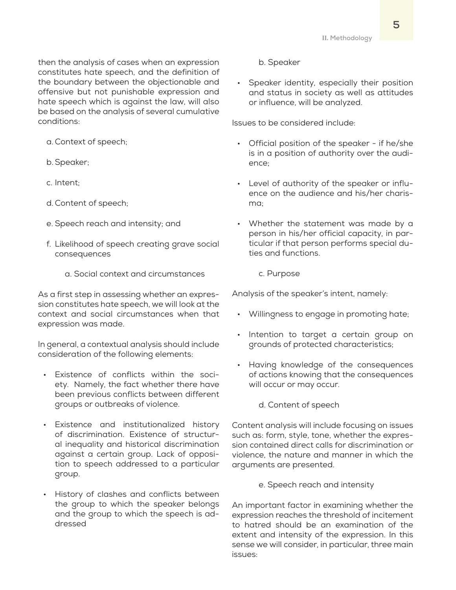then the analysis of cases when an expression constitutes hate speech, and the definition of the boundary between the objectionable and offensive but not punishable expression and hate speech which is against the law, will also be based on the analysis of several cumulative conditions:

a. Context of speech;

- b.Speaker;
- c. Intent;
- d. Content of speech;
- e. Speech reach and intensity; and
- f. Likelihood of speech creating grave social consequences
	- a. Social context and circumstances

As a first step in assessing whether an expression constitutes hate speech, we will look at the context and social circumstances when that expression was made.

In general, a contextual analysis should include consideration of the following elements:

- Existence of conflicts within the society. Namely, the fact whether there have been previous conflicts between different groups or outbreaks of violence.
- Existence and institutionalized history of discrimination. Existence of structural inequality and historical discrimination against a certain group. Lack of opposition to speech addressed to a particular group.
- History of clashes and conflicts between the group to which the speaker belongs and the group to which the speech is addressed

b. Speaker

• Speaker identity, especially their position and status in society as well as attitudes or influence, will be analyzed.

Issues to be considered include:

- Official position of the speaker if he/she is in a position of authority over the audience;
- Level of authority of the speaker or influence on the audience and his/her charisma;
- Whether the statement was made by a person in his/her official capacity, in particular if that person performs special duties and functions.
	- c. Purpose

Analysis of the speaker's intent, namely:

- Willingness to engage in promoting hate;
- Intention to target a certain group on grounds of protected characteristics;
- Having knowledge of the consequences of actions knowing that the consequences will occur or may occur.
	- d. Content of speech

Content analysis will include focusing on issues such as: form, style, tone, whether the expression contained direct calls for discrimination or violence, the nature and manner in which the arguments are presented.

e. Speech reach and intensity

An important factor in examining whether the expression reaches the threshold of incitement to hatred should be an examination of the extent and intensity of the expression. In this sense we will consider, in particular, three main issues: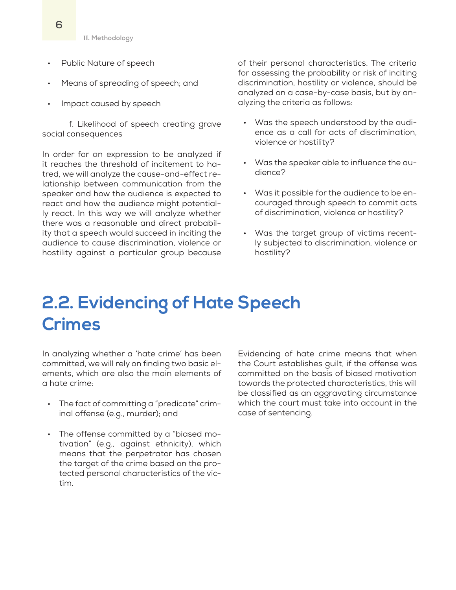**II. Methodology**

- Public Nature of speech
- Means of spreading of speech; and
- Impact caused by speech

f. Likelihood of speech creating grave social consequences

In order for an expression to be analyzed if it reaches the threshold of incitement to hatred, we will analyze the cause-and-effect relationship between communication from the speaker and how the audience is expected to react and how the audience might potentially react. In this way we will analyze whether there was a reasonable and direct probability that a speech would succeed in inciting the audience to cause discrimination, violence or hostility against a particular group because

of their personal characteristics. The criteria for assessing the probability or risk of inciting discrimination, hostility or violence, should be analyzed on a case-by-case basis, but by analyzing the criteria as follows:

- Was the speech understood by the audience as a call for acts of discrimination, violence or hostility?
- Was the speaker able to influence the audience?
- Was it possible for the audience to be encouraged through speech to commit acts of discrimination, violence or hostility?
- Was the target group of victims recently subjected to discrimination, violence or hostility?

## **2.2. Evidencing of Hate Speech Crimes**

In analyzing whether a 'hate crime' has been committed, we will rely on finding two basic elements, which are also the main elements of a hate crime:

- The fact of committing a "predicate" criminal offense (e.g., murder); and
- The offense committed by a "biased motivation" (e.g., against ethnicity), which means that the perpetrator has chosen the target of the crime based on the protected personal characteristics of the victim.

Evidencing of hate crime means that when the Court establishes guilt, if the offense was committed on the basis of biased motivation towards the protected characteristics, this will be classified as an aggravating circumstance which the court must take into account in the case of sentencing.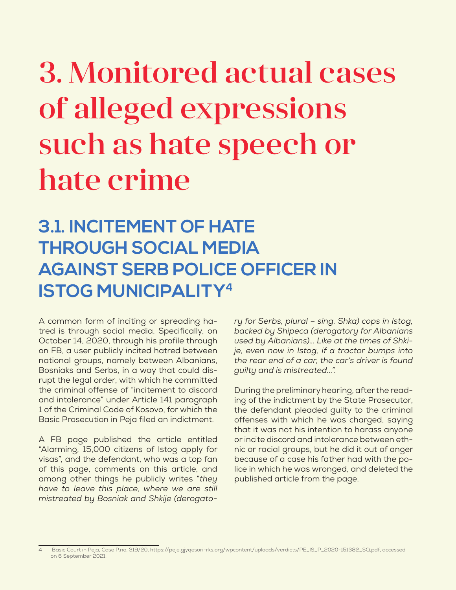# 3. Monitored actual cases of alleged expressions such as hate speech or hate crime

## **3.1. INCITEMENT OF HATE THROUGH SOCIAL MEDIA AGAINST SERB POLICE OFFICER IN ISTOG MUNICIPALITY4**

A common form of inciting or spreading hatred is through social media. Specifically, on October 14, 2020, through his profile through on FB, a user publicly incited hatred between national groups, namely between Albanians, Bosniaks and Serbs, in a way that could disrupt the legal order, with which he committed the criminal offense of "incitement to discord and intolerance" under Article 141 paragraph 1 of the Criminal Code of Kosovo, for which the Basic Prosecution in Peja filed an indictment.

A FB page published the article entitled "Alarming, 15,000 citizens of Istog apply for visas", and the defendant, who was a top fan of this page, comments on this article, and among other things he publicly writes "*they have to leave this place, where we are still mistreated by Bosniak and Shkije (derogato-*

*ry for Serbs, plural – sing. Shka) cops in Istog, backed by Shipeca (derogatory for Albanians used by Albanians)… Like at the times of Shkije, even now in Istog, if a tractor bumps into the rear end of a car, the car's driver is found guilty and is mistreated...".*

During the preliminary hearing, after the reading of the indictment by the State Prosecutor, the defendant pleaded guilty to the criminal offenses with which he was charged, saying that it was not his intention to harass anyone or incite discord and intolerance between ethnic or racial groups, but he did it out of anger because of a case his father had with the police in which he was wronged, and deleted the published article from the page.

<sup>4</sup> Basic Court in Peja, Case P.no. 319/20, https://peje.gjyqesori-rks.org/wpcontent/uploads/verdicts/PE\_IS\_P\_2020-151382\_SQ.pdf, accessed on 6 September 2021.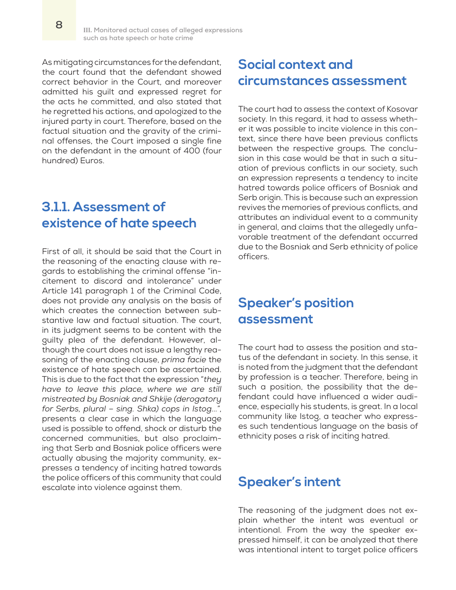As mitigating circumstances for the defendant, the court found that the defendant showed correct behavior in the Court, and moreover admitted his guilt and expressed regret for the acts he committed, and also stated that he regretted his actions, and apologized to the injured party in court. Therefore, based on the factual situation and the gravity of the criminal offenses, the Court imposed a single fine on the defendant in the amount of 400 (four hundred) Euros.

### **3.1.1. Assessment of existence of hate speech**

First of all, it should be said that the Court in the reasoning of the enacting clause with regards to establishing the criminal offense "incitement to discord and intolerance" under Article 141 paragraph 1 of the Criminal Code, does not provide any analysis on the basis of which creates the connection between substantive law and factual situation. The court, in its judgment seems to be content with the guilty plea of the defendant. However, although the court does not issue a lengthy reasoning of the enacting clause, *prima facie* the existence of hate speech can be ascertained. This is due to the fact that the expression "*they have to leave this place, where we are still mistreated by Bosniak and Shkije (derogatory for Serbs, plural – sing. Shka) cops in Istog...*", presents a clear case in which the language used is possible to offend, shock or disturb the concerned communities, but also proclaiming that Serb and Bosniak police officers were actually abusing the majority community, expresses a tendency of inciting hatred towards the police officers of this community that could escalate into violence against them.

### **Social context and circumstances assessment**

The court had to assess the context of Kosovar society. In this regard, it had to assess whether it was possible to incite violence in this context, since there have been previous conflicts between the respective groups. The conclusion in this case would be that in such a situation of previous conflicts in our society, such an expression represents a tendency to incite hatred towards police officers of Bosniak and Serb origin. This is because such an expression revives the memories of previous conflicts, and attributes an individual event to a community in general, and claims that the allegedly unfavorable treatment of the defendant occurred due to the Bosniak and Serb ethnicity of police officers.

### **Speaker's position assessment**

The court had to assess the position and status of the defendant in society. In this sense, it is noted from the judgment that the defendant by profession is a teacher. Therefore, being in such a position, the possibility that the defendant could have influenced a wider audience, especially his students, is great. In a local community like Istog, a teacher who expresses such tendentious language on the basis of ethnicity poses a risk of inciting hatred.

#### **Speaker's intent**

The reasoning of the judgment does not explain whether the intent was eventual or intentional. From the way the speaker expressed himself, it can be analyzed that there was intentional intent to target police officers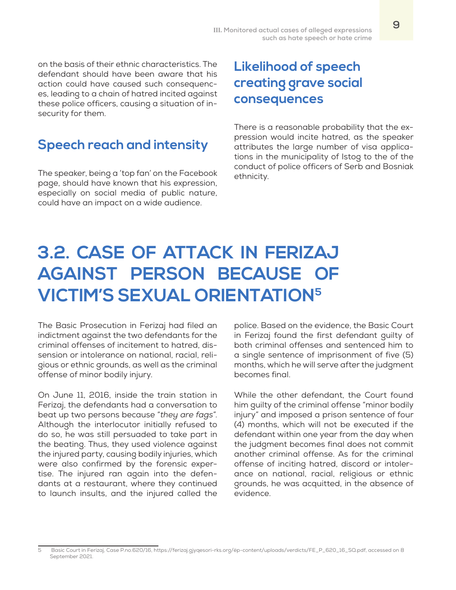on the basis of their ethnic characteristics. The defendant should have been aware that his action could have caused such consequences, leading to a chain of hatred incited against these police officers, causing a situation of insecurity for them.

### **Speech reach and intensity**

The speaker, being a 'top fan' on the Facebook page, should have known that his expression, especially on social media of public nature, could have an impact on a wide audience.

## **Likelihood of speech creating grave social consequences**

There is a reasonable probability that the expression would incite hatred, as the speaker attributes the large number of visa applications in the municipality of Istog to the of the conduct of police officers of Serb and Bosniak ethnicity.

## **3.2. CASE OF ATTACK IN FERIZAJ AGAINST PERSON BECAUSE OF VICTIM'S SEXUAL ORIENTATION5**

The Basic Prosecution in Ferizaj had filed an indictment against the two defendants for the criminal offenses of incitement to hatred, dissension or intolerance on national, racial, religious or ethnic grounds, as well as the criminal offense of minor bodily injury.

On June 11, 2016, inside the train station in Ferizaj, the defendants had a conversation to beat up two persons because "*they are fags*". Although the interlocutor initially refused to do so, he was still persuaded to take part in the beating. Thus, they used violence against the injured party, causing bodily injuries, which were also confirmed by the forensic expertise. The injured ran again into the defendants at a restaurant, where they continued to launch insults, and the injured called the

police. Based on the evidence, the Basic Court in Ferizaj found the first defendant guilty of both criminal offenses and sentenced him to a single sentence of imprisonment of five (5) months, which he will serve after the judgment becomes final.

While the other defendant, the Court found him guilty of the criminal offense "minor bodily injury" and imposed a prison sentence of four (4) months, which will not be executed if the defendant within one year from the day when the judgment becomes final does not commit another criminal offense. As for the criminal offense of inciting hatred, discord or intolerance on national, racial, religious or ethnic grounds, he was acquitted, in the absence of evidence.

<sup>5</sup> Basic Court in Ferizaj, Case P.no.620/16, https://ferizaj.gjyqesori-rks.org/ëp-content/uploads/verdicts/FE\_P\_620\_16\_SQ.pdf, accessed on 8 September 2021.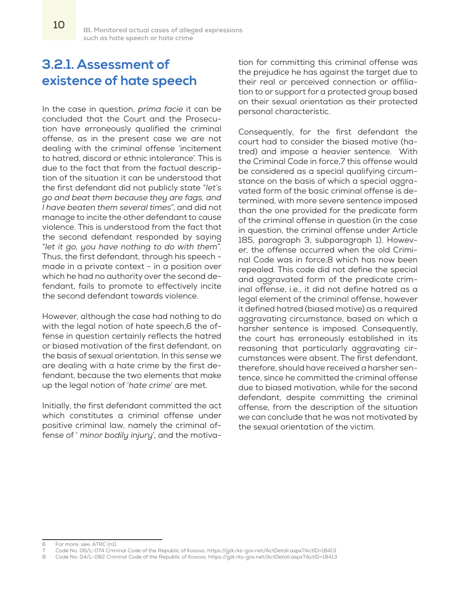### **3.2.1. Assessment of existence of hate speech**

In the case in question, *prima facie* it can be concluded that the Court and the Prosecution have erroneously qualified the criminal offense, as in the present case we are not dealing with the criminal offense 'incitement to hatred, discord or ethnic intolerance'. This is due to the fact that from the factual description of the situation it can be understood that the first defendant did not publicly state "*let's go and beat them because they are fags, and I have beaten them several times*", and did not manage to incite the other defendant to cause violence. This is understood from the fact that the second defendant responded by saying "*let it go, you have nothing to do with them*". Thus, the first defendant, through his speech made in a private context - in a position over which he had no authority over the second defendant, fails to promote to effectively incite the second defendant towards violence.

However, although the case had nothing to do with the legal notion of hate speech,6 the offense in question certainly reflects the hatred or biased motivation of the first defendant, on the basis of sexual orientation. In this sense we are dealing with a hate crime by the first defendant, because the two elements that make up the legal notion of '*hate crime*' are met.

Initially, the first defendant committed the act which constitutes a criminal offense under positive criminal law, namely the criminal offense of ' *minor bodily injury*', and the motivation for committing this criminal offense was the prejudice he has against the target due to their real or perceived connection or affiliation to or support for a protected group based on their sexual orientation as their protected personal characteristic.

Consequently, for the first defendant the court had to consider the biased motive (hatred) and impose a heavier sentence. With the Criminal Code in force,7 this offense would be considered as a special qualifying circumstance on the basis of which a special aggravated form of the basic criminal offense is determined, with more severe sentence imposed than the one provided for the predicate form of the criminal offense in question (in the case in question, the criminal offense under Article 185, paragraph 3, subparagraph 1). However, the offense occurred when the old Criminal Code was in force,8 which has now been repealed. This code did not define the special and aggravated form of the predicate criminal offense, i.e., it did not define hatred as a legal element of the criminal offense, however it defined hatred (biased motive) as a required aggravating circumstance, based on which a harsher sentence is imposed. Consequently, the court has erroneously established in its reasoning that particularly aggravating circumstances were absent. The first defendant, therefore, should have received a harsher sentence, since he committed the criminal offense due to biased motivation, while for the second defendant, despite committing the criminal offense, from the description of the situation we can conclude that he was not motivated by the sexual orientation of the victim.

<sup>6</sup> For more, see: ATRC (n1).

<sup>7</sup> Code No. 06/L-074 Criminal Code of the Republic of Kosovo, https://gzk.rks-gov.net/ActDetail.aspx?ActID=18413

<sup>8</sup> Code No. 04/L-082 Criminal Code of the Republic of Kosovo, https://gzk.rks-gov.net/ActDetail.aspx?ActID=18413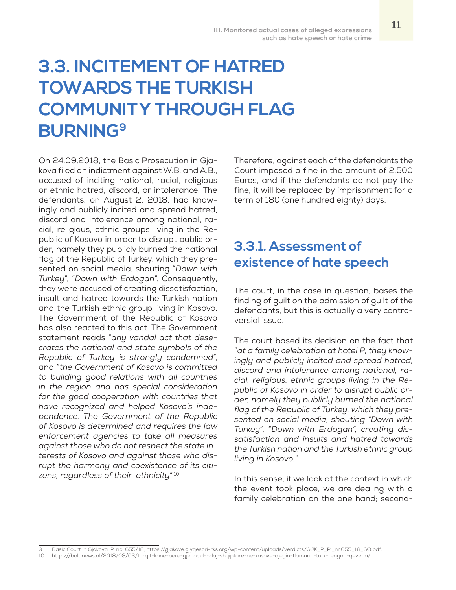## **3.3. INCITEMENT OF HATRED TOWARDS THE TURKISH COMMUNITY THROUGH FLAG BURNING9**

On 24.09.2018, the Basic Prosecution in Gjakova filed an indictment against W.B. and A.B., accused of inciting national, racial, religious or ethnic hatred, discord, or intolerance. The defendants, on August 2, 2018, had knowingly and publicly incited and spread hatred, discord and intolerance among national, racial, religious, ethnic groups living in the Republic of Kosovo in order to disrupt public order, namely they publicly burned the national flag of the Republic of Turkey, which they presented on social media, shouting "*Down with Turkey*", "*Down with Erdogan*". Consequently, they were accused of creating dissatisfaction, insult and hatred towards the Turkish nation and the Turkish ethnic group living in Kosovo. The Government of the Republic of Kosovo has also reacted to this act. The Government statement reads "*any vandal act that desecrates the national and state symbols of the Republic of Turkey is strongly condemned*", and "*the Government of Kosovo is committed to building good relations with all countries in the region and has special consideration for the good cooperation with countries that have recognized and helped Kosovo's independence. The Government of the Republic of Kosovo is determined and requires the law enforcement agencies to take all measures against those who do not respect the state interests of Kosovo and against those who disrupt the harmony and coexistence of its citizens, regardless of their ethnicity*".10

Therefore, against each of the defendants the Court imposed a fine in the amount of 2,500 Euros, and if the defendants do not pay the fine, it will be replaced by imprisonment for a term of 180 (one hundred eighty) days.

## **3.3.1. Assessment of existence of hate speech**

The court, in the case in question, bases the finding of guilt on the admission of guilt of the defendants, but this is actually a very controversial issue.

The court based its decision on the fact that "*at a family celebration at hotel P, they knowingly and publicly incited and spread hatred, discord and intolerance among national, racial, religious, ethnic groups living in the Republic of Kosovo in order to disrupt public order, namely they publicly burned the national flag of the Republic of Turkey, which they presented on social media, shouting "Down with Turkey*", "*Down with Erdogan", creating dissatisfaction and insults and hatred towards the Turkish nation and the Turkish ethnic group living in Kosovo.*"

In this sense, if we look at the context in which the event took place, we are dealing with a family celebration on the one hand; second-

<sup>9</sup> Basic Court in Gjakova, P. no. 655/18, https://gjakove.gjyqesori-rks.org/wp-content/uploads/verdicts/GJK\_P\_P.\_nr.655\_18\_SQ.pdf.

<sup>10</sup> https://boldnews.al/2018/08/03/turqit-kane-bere-gjenocid-ndaj-shqiptare-ne-kosove-djegin-flamurin-turk-reagon-qeveria/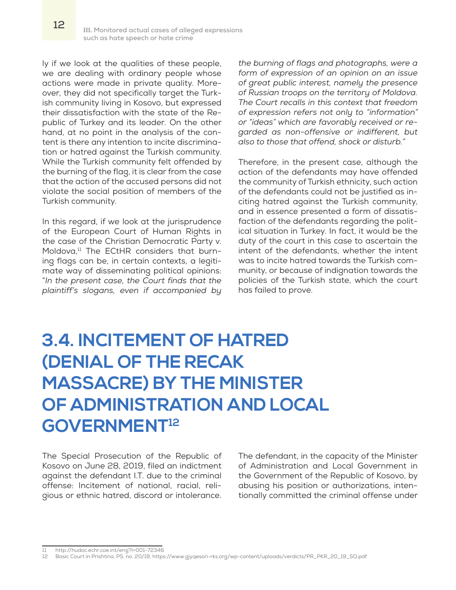ly if we look at the qualities of these people, we are dealing with ordinary people whose actions were made in private quality. Moreover, they did not specifically target the Turkish community living in Kosovo, but expressed their dissatisfaction with the state of the Republic of Turkey and its leader. On the other hand, at no point in the analysis of the content is there any intention to incite discrimination or hatred against the Turkish community. While the Turkish community felt offended by the burning of the flag, it is clear from the case that the action of the accused persons did not violate the social position of members of the Turkish community.

In this regard, if we look at the jurisprudence of the European Court of Human Rights in the case of the Christian Democratic Party v. Moldova, $11$  The ECtHR considers that burning flags can be, in certain contexts, a legitimate way of disseminating political opinions: "*In the present case, the Court finds that the plaintiff's slogans, even if accompanied by* 

*the burning of flags and photographs, were a form of expression of an opinion on an issue of great public interest, namely the presence of Russian troops on the territory of Moldova. The Court recalls in this context that freedom of expression refers not only to "information" or "ideas" which are favorably received or regarded as non-offensive or indifferent, but also to those that offend, shock or disturb.*"

Therefore, in the present case, although the action of the defendants may have offended the community of Turkish ethnicity, such action of the defendants could not be justified as inciting hatred against the Turkish community, and in essence presented a form of dissatisfaction of the defendants regarding the political situation in Turkey. In fact, it would be the duty of the court in this case to ascertain the intent of the defendants, whether the intent was to incite hatred towards the Turkish community, or because of indignation towards the policies of the Turkish state, which the court has failed to prove.

## **3.4. INCITEMENT OF HATRED (DENIAL OF THE RECAK MASSACRE) BY THE MINISTER OF ADMINISTRATION AND LOCAL GOVERNMENT12**

The Special Prosecution of the Republic of Kosovo on June 28, 2019, filed an indictment against the defendant I.T. due to the criminal offense: Incitement of national, racial, religious or ethnic hatred, discord or intolerance. The defendant, in the capacity of the Minister of Administration and Local Government in the Government of the Republic of Kosovo, by abusing his position or authorizations, intentionally committed the criminal offense under

<sup>11</sup> http://hudoc.echr.coe.int/eng?i=001-72346

<sup>12</sup> Basic Court in Prishtina, PS. no. 20/19, https://www.gjyqesori-rks.org/wp-content/uploads/verdicts/PR\_PKR\_20\_19\_SQ.pdf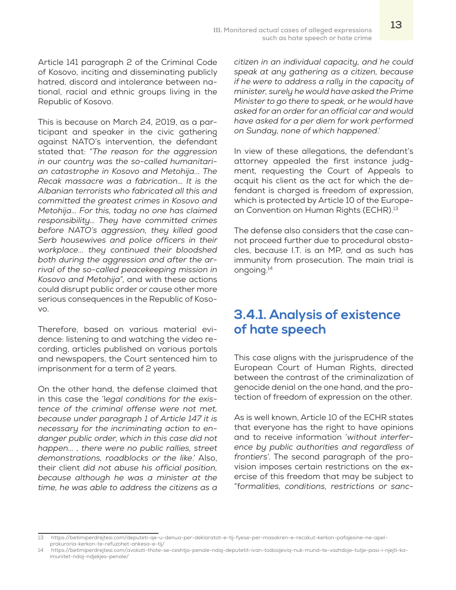Article 141 paragraph 2 of the Criminal Code of Kosovo, inciting and disseminating publicly hatred, discord and intolerance between national, racial and ethnic groups living in the Republic of Kosovo.

This is because on March 24, 2019, as a participant and speaker in the civic gathering against NATO's intervention, the defendant stated that: "*The reason for the aggression in our country was the so-called humanitarian catastrophe in Kosovo and Metohija... The Recak massacre was a fabrication… It is the Albanian terrorists who fabricated all this and committed the greatest crimes in Kosovo and Metohija… For this, today no one has claimed responsibility… They have committed crimes before NATO's aggression, they killed good Serb housewives and police officers in their workplace... they continued their bloodshed both during the aggression and after the arrival of the so-called peacekeeping mission in Kosovo and Metohija*", and with these actions could disrupt public order or cause other more serious consequences in the Republic of Kosovo.

Therefore, based on various material evidence: listening to and watching the video recording, articles published on various portals and newspapers, the Court sentenced him to imprisonment for a term of 2 years.

On the other hand, the defense claimed that in this case the 'l*egal conditions for the existence of the criminal offense were not met, because under paragraph 1 of Article 147 it is necessary for the incriminating action to endanger public order, which in this case did not happen... , there were no public rallies, street demonstrations, roadblocks or the like*.' Also, their client *did not abuse his official position, because although he was a minister at the time, he was able to address the citizens as a* 

*citizen in an individual capacity, and he could speak at any gathering as a citizen, because if he were to address a rally in the capacity of minister, surely he would have asked the Prime Minister to go there to speak, or he would have asked for an order for an official car and would have asked for a per diem for work performed on Sunday, none of which happened*.'

In view of these allegations, the defendant's attorney appealed the first instance judgment, requesting the Court of Appeals to acquit his client as the act for which the defendant is charged is freedom of expression, which is protected by Article 10 of the European Convention on Human Rights (ECHR).<sup>13</sup>

The defense also considers that the case cannot proceed further due to procedural obstacles, because I.T. is an MP, and as such has immunity from prosecution. The main trial is ongoing.14

#### **3.4.1. Analysis of existence of hate speech**

This case aligns with the jurisprudence of the European Court of Human Rights, directed between the contrast of the criminalization of genocide denial on the one hand, and the protection of freedom of expression on the other.

As is well known, Article 10 of the ECHR states that everyone has the right to have opinions and to receive information '*without interference by public authorities and regardless of frontiers*'. The second paragraph of the provision imposes certain restrictions on the exercise of this freedom that may be subject to "f*ormalities, conditions, restrictions or sanc-*

<sup>13</sup> https://betimiperdrejtesi.com/deputeti-qe-u-denua-per-deklaratat-e-tij-fyese-per-masakren-e-recakut-kerkon-pafajesine-ne-apelprokuroria-kerkon-te-refuzohet-ankesa-e-tij/

<sup>14</sup> https://betimiperdrejtesi.com/avokati-thote-se-ceshtja-penale-ndaj-deputetit-ivan-todosijeviq-nuk-mund-te-vazhdoje-tutje-pasi-i-njejti-kaimunitet-ndaj-ndjekjes-penale/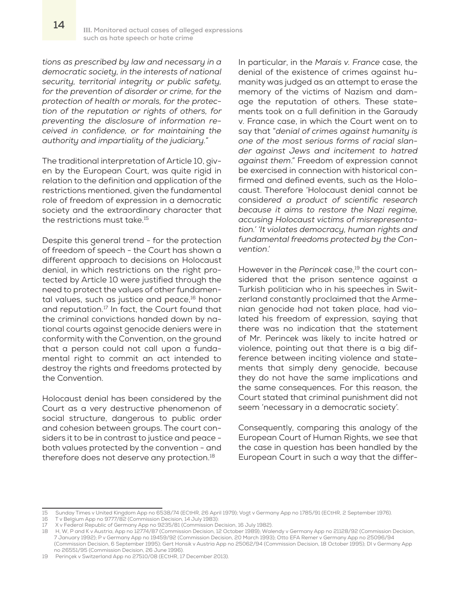*tions as prescribed by law and necessary in a democratic society, in the interests of national security, territorial integrity or public safety, for the prevention of disorder or crime, for the protection of health or morals, for the protection of the reputation or rights of others, for preventing the disclosure of information received in confidence, or for maintaining the authority and impartiality of the judiciary.*"

The traditional interpretation of Article 10, given by the European Court, was quite rigid in relation to the definition and application of the restrictions mentioned, given the fundamental role of freedom of expression in a democratic society and the extraordinary character that the restrictions must take.<sup>15</sup>

Despite this general trend - for the protection of freedom of speech - the Court has shown a different approach to decisions on Holocaust denial, in which restrictions on the right protected by Article 10 were justified through the need to protect the values of other fundamental values, such as justice and peace,<sup>16</sup> honor and reputation.17 In fact, the Court found that the criminal convictions handed down by national courts against genocide deniers were in conformity with the Convention, on the ground that a person could not call upon a fundamental right to commit an act intended to destroy the rights and freedoms protected by the Convention.

Holocaust denial has been considered by the Court as a very destructive phenomenon of social structure, dangerous to public order and cohesion between groups. The court considers it to be in contrast to justice and peace both values protected by the convention - and therefore does not deserve any protection.<sup>18</sup>

In particular, in the *Marais v. France* case, the denial of the existence of crimes against humanity was judged as an attempt to erase the memory of the victims of Nazism and damage the reputation of others. These statements took on a full definition in the Garaudy v. France case, in which the Court went on to say that "*denial of crimes against humanity is one of the most serious forms of racial slander against Jews and incitement to hatred against them*." Freedom of expression cannot be exercised in connection with historical confirmed and defined events, such as the Holocaust. Therefore 'Holocaust denial cannot be conside*red a product of scientific research because it aims to restore the Nazi regime, accusing Holocaust victims of misrepresentation.' 'It violates democracy, human rights and fundamental freedoms protected by the Convention*.'

However in the Perincek case,<sup>19</sup> the court considered that the prison sentence against a Turkish politician who in his speeches in Switzerland constantly proclaimed that the Armenian genocide had not taken place, had violated his freedom of expression, saying that there was no indication that the statement of Mr. Perincek was likely to incite hatred or violence, pointing out that there is a big difference between inciting violence and statements that simply deny genocide, because they do not have the same implications and the same consequences. For this reason, the Court stated that criminal punishment did not seem 'necessary in a democratic society'.

Consequently, comparing this analogy of the European Court of Human Rights, we see that the case in question has been handled by the European Court in such a way that the differ-

<sup>15</sup> Sunday Times v United Kingdom App no 6538/74 (ECtHR, 26 April 1979); Vogt v Germany App no 1785/91 (ECtHR, 2 September 1976).

T v Belgium App no 9777/82 (Commission Decision, 14 July 1983):

<sup>17</sup> X v Federal Republic of Germany App no 9235/81 (Commission Decision, 16 July 1982).

<sup>18</sup> H, W, P and K v Austria, App no 12774/87 (Commission Decision, 12 October 1989); Walendy v Germany App no 21128/92 (Commission Decision, 7 January 1992); P v Germany App no 19459/92 (Commission Decision, 20 March 1993); Otto EFA Remer v Germany App no 25096/94 (Commission Decision, 6 September 1995); Gert Honsik v Austria App no 25062/94 (Commission Decision, 18 October 1995); DI v Germany App no 26551/95 (Commission Decision, 26 June 1996).

<sup>19</sup> Perinçek v Switzerland App no 27510/08 (ECtHR, 17 December 2013).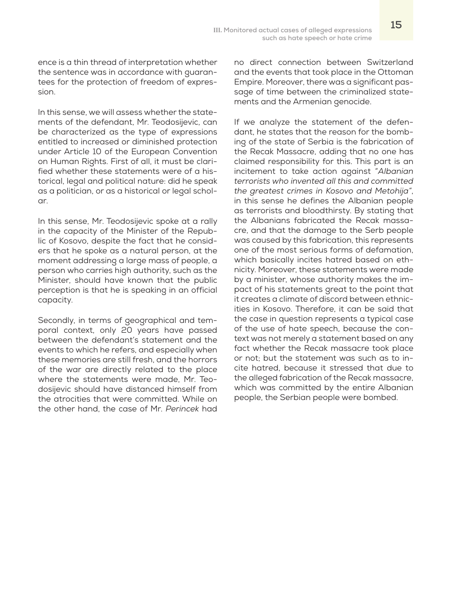ence is a thin thread of interpretation whether the sentence was in accordance with guarantees for the protection of freedom of expression.

In this sense, we will assess whether the statements of the defendant, Mr. Teodosijevic, can be characterized as the type of expressions entitled to increased or diminished protection under Article 10 of the European Convention on Human Rights. First of all, it must be clarified whether these statements were of a historical, legal and political nature: did he speak as a politician, or as a historical or legal scholar.

In this sense, Mr. Teodosijevic spoke at a rally in the capacity of the Minister of the Republic of Kosovo, despite the fact that he considers that he spoke as a natural person, at the moment addressing a large mass of people, a person who carries high authority, such as the Minister, should have known that the public perception is that he is speaking in an official capacity.

Secondly, in terms of geographical and temporal context, only 20 years have passed between the defendant's statement and the events to which he refers, and especially when these memories are still fresh, and the horrors of the war are directly related to the place where the statements were made, Mr. Teodosijevic should have distanced himself from the atrocities that were committed. While on the other hand, the case of Mr. *Perincek* had

no direct connection between Switzerland and the events that took place in the Ottoman Empire. Moreover, there was a significant passage of time between the criminalized statements and the Armenian genocide.

If we analyze the statement of the defendant, he states that the reason for the bombing of the state of Serbia is the fabrication of the Recak Massacre, adding that no one has claimed responsibility for this. This part is an incitement to take action against "*Albanian terrorists who invented all this and committed the greatest crimes in Kosovo and Metohija"*, in this sense he defines the Albanian people as terrorists and bloodthirsty. By stating that the Albanians fabricated the Recak massacre, and that the damage to the Serb people was caused by this fabrication, this represents one of the most serious forms of defamation, which basically incites hatred based on ethnicity. Moreover, these statements were made by a minister, whose authority makes the impact of his statements great to the point that it creates a climate of discord between ethnicities in Kosovo. Therefore, it can be said that the case in question represents a typical case of the use of hate speech, because the context was not merely a statement based on any fact whether the Recak massacre took place or not; but the statement was such as to incite hatred, because it stressed that due to the alleged fabrication of the Recak massacre, which was committed by the entire Albanian people, the Serbian people were bombed.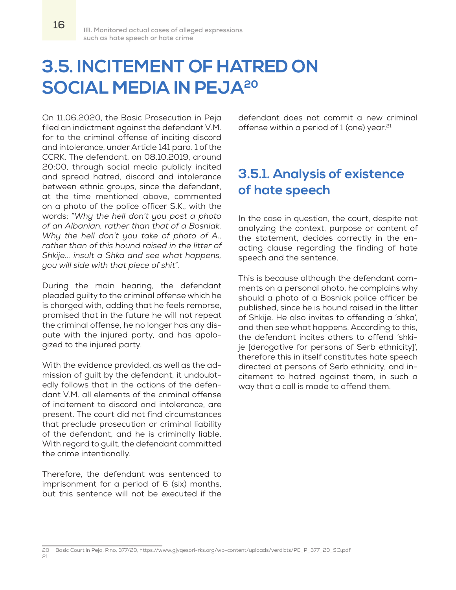**16**

## **3.5. INCITEMENT OF HATRED ON SOCIAL MEDIA IN PEJA20**

On 11.06.2020, the Basic Prosecution in Peja filed an indictment against the defendant V.M. for to the criminal offense of inciting discord and intolerance, under Article 141 para. 1 of the CCRK. The defendant, on 08.10.2019, around 20:00, through social media publicly incited and spread hatred, discord and intolerance between ethnic groups, since the defendant, at the time mentioned above, commented on a photo of the police officer S.K., with the words: "*Why the hell don't you post a photo of an Albanian, rather than that of a Bosniak. Why the hell don't you take of photo of A., rather than of this hound raised in the litter of Shkije... insult a Shka and see what happens, you will side with that piece of shit*".

During the main hearing, the defendant pleaded guilty to the criminal offense which he is charged with, adding that he feels remorse, promised that in the future he will not repeat the criminal offense, he no longer has any dispute with the injured party, and has apologized to the injured party.

With the evidence provided, as well as the admission of guilt by the defendant, it undoubtedly follows that in the actions of the defendant V.M. all elements of the criminal offense of incitement to discord and intolerance, are present. The court did not find circumstances that preclude prosecution or criminal liability of the defendant, and he is criminally liable. With regard to guilt, the defendant committed the crime intentionally.

**Ambasada Holandeze në Kosovë jo domosdoshmërisht i ndanë pikëpamjet**  imprisonment for a period of 6 (six) months,<br>. Therefore, the defendant was sentenced to but this sentence will not be executed if the

defendant does not commit a new criminal offense within a period of  $1$  (one) year.<sup>21</sup>

## **3.5.1. Analysis of existence of hate speech**

In the case in question, the court, despite not analyzing the context, purpose or content of the statement, decides correctly in the enacting clause regarding the finding of hate speech and the sentence.

This is because although the defendant comments on a personal photo, he complains why should a photo of a Bosniak police officer be published, since he is hound raised in the litter of Shkije. He also invites to offending a 'shka', and then see what happens. According to this, the defendant incites others to offend 'shkije [derogative for persons of Serb ethnicity]', therefore this in itself constitutes hate speech directed at persons of Serb ethnicity, and incitement to hatred against them, in such a way that a call is made to offend them.

<sup>20</sup> Basic Court in Peja, P.no. 377/20, https://www.gjyqesori-rks.org/wp-content/uploads/verdicts/PE\_P\_377\_20\_SQ.pdf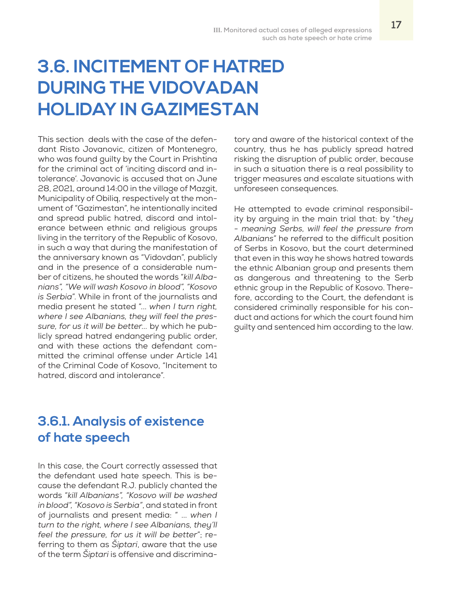# **3.6. INCITEMENT OF HATRED DURING THE VIDOVADAN HOLIDAY IN GAZIMESTAN**

This section deals with the case of the defendant Risto Jovanovic, citizen of Montenegro, who was found guilty by the Court in Prishtina for the criminal act of 'inciting discord and intolerance'. Jovanovic is accused that on June 28, 2021, around 14:00 in the village of Mazgit, Municipality of Obiliq, respectively at the monument of "Gazimestan", he intentionally incited and spread public hatred, discord and intolerance between ethnic and religious groups living in the territory of the Republic of Kosovo, in such a way that during the manifestation of the anniversary known as "Vidovdan", publicly and in the presence of a considerable number of citizens, he shouted the words "*kill Albanians", "We will wash Kosovo in blood", "Kosovo is Serbia*". While in front of the journalists and media present he stated "... *when I turn right, where I see Albanians, they will feel the pressure, for us it will be better...* by which he publicly spread hatred endangering public order, and with these actions the defendant committed the criminal offense under Article 141 of the Criminal Code of Kosovo, "Incitement to hatred, discord and intolerance".

## **3.6.1. Analysis of existence of hate speech**

In this case, the Court correctly assessed that the defendant used hate speech. This is because the defendant R.J. publicly chanted the words "*kill Albanians", "Kosovo will be washed in blood", "Kosovo is Serbia"*, and stated in front of journalists and present media: " ... *when I turn to the right, where I see Albanians, they'll feel the pressure, for us it will be better*"; referring to them as *Šiptari*, aware that the use of the term *Šiptari* is offensive and discriminatory and aware of the historical context of the country, thus he has publicly spread hatred risking the disruption of public order, because in such a situation there is a real possibility to trigger measures and escalate situations with unforeseen consequences.

He attempted to evade criminal responsibility by arguing in the main trial that: by "t*hey - meaning Serbs, will feel the pressure from Albanians*" he referred to the difficult position of Serbs in Kosovo, but the court determined that even in this way he shows hatred towards the ethnic Albanian group and presents them as dangerous and threatening to the Serb ethnic group in the Republic of Kosovo. Therefore, according to the Court, the defendant is considered criminally responsible for his conduct and actions for which the court found him guilty and sentenced him according to the law.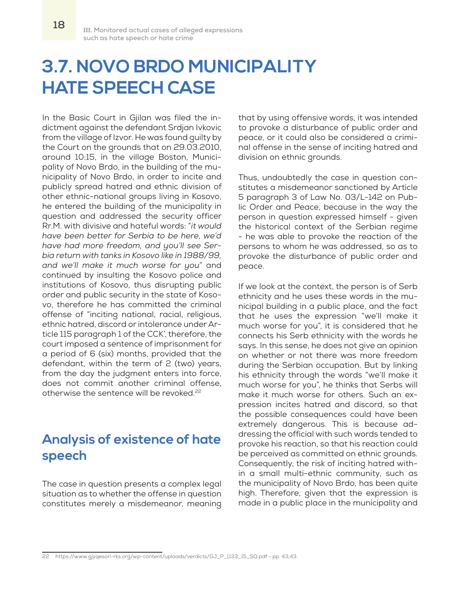# **3.7. NOVO BRDO MUNICIPALITY HATE SPEECH CASE**

In the Basic Court in Gjilan was filed the indictment against the defendant Srdjan Ivkovic from the village of Izvor. He was found guilty by the Court on the grounds that on 29.03.2010, around 10:15, in the village Boston, Municipality of Novo Brdo, in the building of the municipality of Novo Brdo, in order to incite and publicly spread hatred and ethnic division of other ethnic-national groups living in Kosovo, he entered the building of the municipality in question and addressed the security officer Rr.M. with divisive and hateful words: "*it would have been better for Serbia to be here, we'd have had more freedom, and you'll see Serbia return with tanks in Kosovo like in 1988/99, and we'll make it much worse for you*" and continued by insulting the Kosovo police and institutions of Kosovo, thus disrupting public order and public security in the state of Kosovo, therefore he has committed the criminal offense of "inciting national, racial, religious, ethnic hatred, discord or intolerance under Article 115 paragraph 1 of the CCK', therefore, the court imposed a sentence of imprisonment for a period of 6 (six) months, provided that the defendant, within the term of 2 (two) years, from the day the judgment enters into force, does not commit another criminal offense, otherwise the sentence will be revoked.<sup>22</sup>

## **Analysis of existence of hate speech**

The case in question presents a complex legal situation as to whether the offense in question constitutes merely a misdemeanor, meaning that by using offensive words, it was intended to provoke a disturbance of public order and peace, or it could also be considered a criminal offense in the sense of inciting hatred and division on ethnic grounds.

Thus, undoubtedly the case in question constitutes a misdemeanor sanctioned by Article 5 paragraph 3 of Law No. 03/L-142 on Public Order and Peace, because in the way the person in question expressed himself - given the historical context of the Serbian regime - he was able to provoke the reaction of the persons to whom he was addressed, so as to provoke the disturbance of public order and peace.

If we look at the context, the person is of Serb ethnicity and he uses these words in the municipal building in a public place, and the fact that he uses the expression "we'll make it much worse for you", it is considered that he connects his Serb ethnicity with the words he says. In this sense, he does not give an opinion on whether or not there was more freedom during the Serbian occupation. But by linking his ethnicity through the words "we'll make it much worse for you", he thinks that Serbs will make it much worse for others. Such an expression incites hatred and discord, so that the possible consequences could have been extremely dangerous. This is because addressing the official with such words tended to provoke his reaction, so that his reaction could be perceived as committed on ethnic grounds. Consequently, the risk of inciting hatred within a small multi-ethnic community, such as the municipality of Novo Brdo, has been quite high. Therefore, given that the expression is made in a public place in the municipality and

<sup>22</sup> https://www.gjyqesori-rks.org/wp-content/uploads/verdicts/GJ\_P\_1133\_15\_SQ.pdf - pp. 43,43.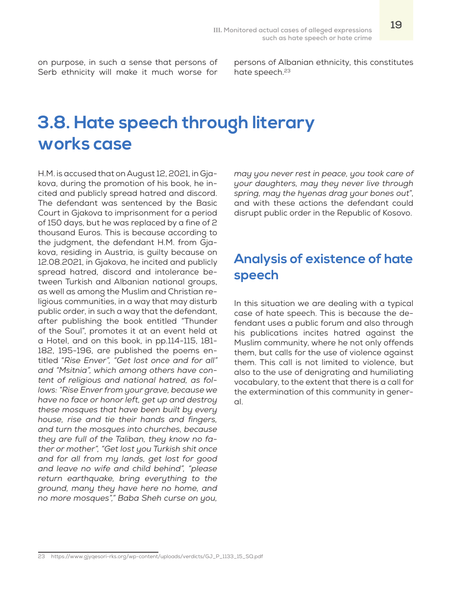on purpose, in such a sense that persons of Serb ethnicity will make it much worse for

persons of Albanian ethnicity, this constitutes hate speech.<sup>23</sup>

## **3.8. Hate speech through literary works case**

H.M. is accused that on August 12, 2021, in Gjakova, during the promotion of his book, he incited and publicly spread hatred and discord. The defendant was sentenced by the Basic Court in Gjakova to imprisonment for a period of 150 days, but he was replaced by a fine of 2 thousand Euros. This is because according to the judgment, the defendant H.M. from Gjakova, residing in Austria, is guilty because on 12.08.2021, in Gjakova, he incited and publicly spread hatred, discord and intolerance between Turkish and Albanian national groups, as well as among the Muslim and Christian religious communities, in a way that may disturb public order, in such a way that the defendant, after publishing the book entitled "Thunder of the Soul", promotes it at an event held at a Hotel, and on this book, in pp.114-115, 181- 182, 195-196, are published the poems entitled "*Rise Enver", "Get lost once and for all" and "Msitnia", which among others have content of religious and national hatred, as follows: "Rise Enver from your grave, because we have no face or honor left, get up and destroy these mosques that have been built by every house, rise and tie their hands and fingers, and turn the mosques into churches, because they are full of the Taliban, they know no father or mother", "Get lost you Turkish shit once and for all from my lands, get lost for good and leave no wife and child behind", "please return earthquake, bring everything to the ground, many they have here no home, and no more mosques"," Baba Sheh curse on you,* 

*may you never rest in peace, you took care of your daughters, may they never live through spring, may the hyenas drag your bones out*", and with these actions the defendant could disrupt public order in the Republic of Kosovo.

### **Analysis of existence of hate speech**

In this situation we are dealing with a typical case of hate speech. This is because the defendant uses a public forum and also through his publications incites hatred against the Muslim community, where he not only offends them, but calls for the use of violence against them. This call is not limited to violence, but also to the use of denigrating and humiliating vocabulary, to the extent that there is a call for the extermination of this community in general.

<sup>23</sup> https://www.gjyqesori-rks.org/wp-content/uploads/verdicts/GJ\_P\_1133\_15\_SQ.pdf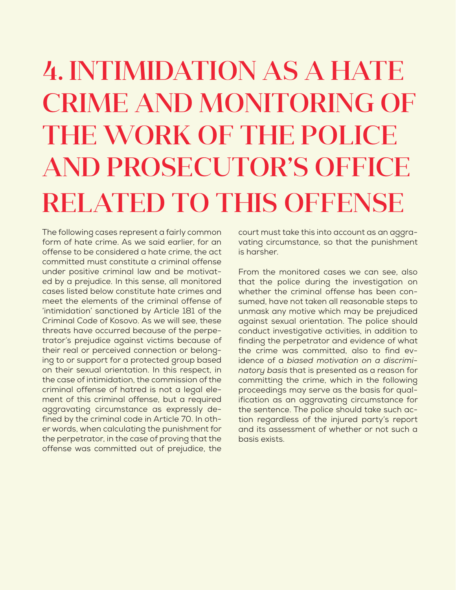# 4. INTIMIDATION AS A HATE CRIME AND MONITORING OF THE WORK OF THE POLICE AND PROSECUTOR'S OFFICE RELATED TO THIS OFFENSE

The following cases represent a fairly common form of hate crime. As we said earlier, for an offense to be considered a hate crime, the act committed must constitute a criminal offense under positive criminal law and be motivated by a prejudice. In this sense, all monitored cases listed below constitute hate crimes and meet the elements of the criminal offense of 'intimidation' sanctioned by Article 181 of the Criminal Code of Kosovo. As we will see, these threats have occurred because of the perpetrator's prejudice against victims because of their real or perceived connection or belonging to or support for a protected group based on their sexual orientation. In this respect, in the case of intimidation, the commission of the criminal offense of hatred is not a legal element of this criminal offense, but a required aggravating circumstance as expressly defined by the criminal code in Article 70. In other words, when calculating the punishment for the perpetrator, in the case of proving that the offense was committed out of prejudice, the

court must take this into account as an aggravating circumstance, so that the punishment is harsher.

From the monitored cases we can see, also that the police during the investigation on whether the criminal offense has been consumed, have not taken all reasonable steps to unmask any motive which may be prejudiced against sexual orientation. The police should conduct investigative activities, in addition to finding the perpetrator and evidence of what the crime was committed, also to find evidence of a *biased motivation on a discriminatory basis* that is presented as a reason for committing the crime, which in the following proceedings may serve as the basis for qualification as an aggravating circumstance for the sentence. The police should take such action regardless of the injured party's report and its assessment of whether or not such a basis exists.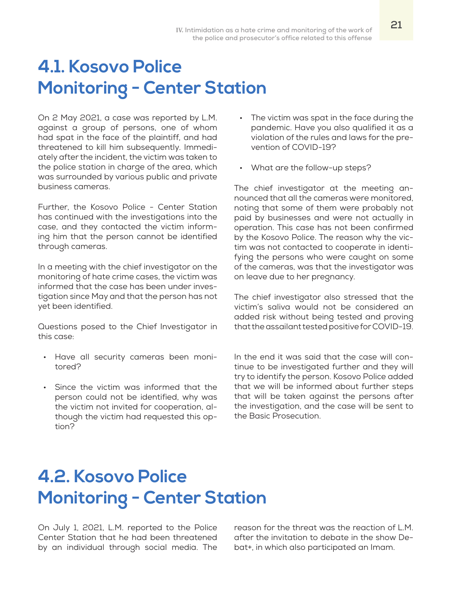## **4.1. Kosovo Police Monitoring - Center Station**

On 2 May 2021, a case was reported by L.M. against a group of persons, one of whom had spat in the face of the plaintiff, and had threatened to kill him subsequently. Immediately after the incident, the victim was taken to the police station in charge of the area, which was surrounded by various public and private business cameras.

Further, the Kosovo Police - Center Station has continued with the investigations into the case, and they contacted the victim informing him that the person cannot be identified through cameras.

In a meeting with the chief investigator on the monitoring of hate crime cases, the victim was informed that the case has been under investigation since May and that the person has not yet been identified.

Questions posed to the Chief Investigator in this case:

- Have all security cameras been monitored?
- Since the victim was informed that the person could not be identified, why was the victim not invited for cooperation, although the victim had requested this option?
- The victim was spat in the face during the pandemic. Have you also qualified it as a violation of the rules and laws for the prevention of COVID-19?
- What are the follow-up steps?

The chief investigator at the meeting announced that all the cameras were monitored, noting that some of them were probably not paid by businesses and were not actually in operation. This case has not been confirmed by the Kosovo Police. The reason why the victim was not contacted to cooperate in identifying the persons who were caught on some of the cameras, was that the investigator was on leave due to her pregnancy.

The chief investigator also stressed that the victim's saliva would not be considered an added risk without being tested and proving that the assailant tested positive for COVID-19.

In the end it was said that the case will continue to be investigated further and they will try to identify the person. Kosovo Police added that we will be informed about further steps that will be taken against the persons after the investigation, and the case will be sent to the Basic Prosecution.

## **4.2. Kosovo Police Monitoring - Center Station**

On July 1, 2021, L.M. reported to the Police Center Station that he had been threatened by an individual through social media. The reason for the threat was the reaction of L.M. after the invitation to debate in the show Debat+, in which also participated an Imam.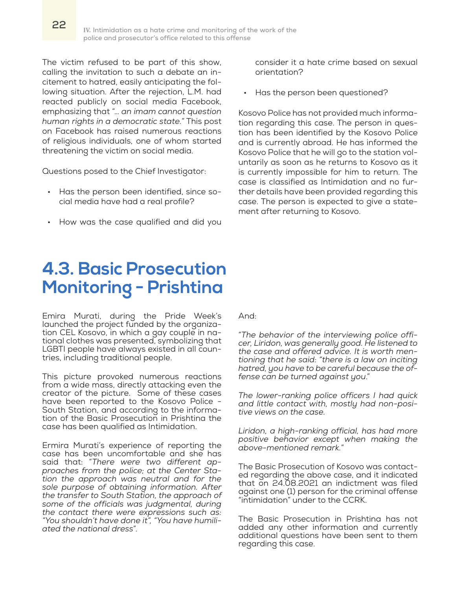The victim refused to be part of this show, calling the invitation to such a debate an incitement to hatred, easily anticipating the following situation. After the rejection, L.M. had reacted publicly on social media Facebook, emphasizing that "… *an imam cannot question human rights in a democratic state.*" This post on Facebook has raised numerous reactions of religious individuals, one of whom started threatening the victim on social media.

Questions posed to the Chief Investigator:

- Has the person been identified, since social media have had a real profile?
- How was the case qualified and did you

## **4.3. Basic Prosecution Monitoring - Prishtina**

Emira Murati, during the Pride Week's launched the project funded by the organization CEL Kosovo, in which a gay couple in national clothes was presented, symbolizing that LGBTI people have always existed in all countries, including traditional people.

This picture provoked numerous reactions from a wide mass, directly attacking even the creator of the picture. Some of these cases have been reported to the Kosovo Police - South Station, and according to the information of the Basic Prosecution in Prishtina the case has been qualified as Intimidation.

Ermira Murati's experience of reporting the case has been uncomfortable and she has said that: "*There were two different approaches from the police; at the Center Station the approach was neutral and for the sole purpose of obtaining information. After the transfer to South Station, the approach of some of the officials was judgmental, during the contact there were expressions such as: "You shouldn't have done it", "You have humiliated the national dress*".

consider it a hate crime based on sexual orientation?

Has the person been questioned?

Kosovo Police has not provided much information regarding this case. The person in question has been identified by the Kosovo Police and is currently abroad. He has informed the Kosovo Police that he will go to the station voluntarily as soon as he returns to Kosovo as it is currently impossible for him to return. The case is classified as Intimidation and no further details have been provided regarding this case. The person is expected to give a statement after returning to Kosovo.

And:

"*The behavior of the interviewing police officer, Liridon, was generally good. He listened to the case and offered advice. It is worth mentioning that he said: "there is a law on inciting hatred, you have to be careful because the offense can be turned against you*."

*The lower-ranking police officers I had quick and little contact with, mostly had non-positive views on the case.*

*Liridon, a high-ranking official, has had more positive behavior except when making the above-mentioned remark.*"

The Basic Prosecution of Kosovo was contacted regarding the above case, and it indicated that on 24.08.2021 an indictment was filed against one (1) person for the criminal offense "intimidation" under to the CCRK.

The Basic Prosecution in Prishtina has not added any other information and currently additional questions have been sent to them regarding this case.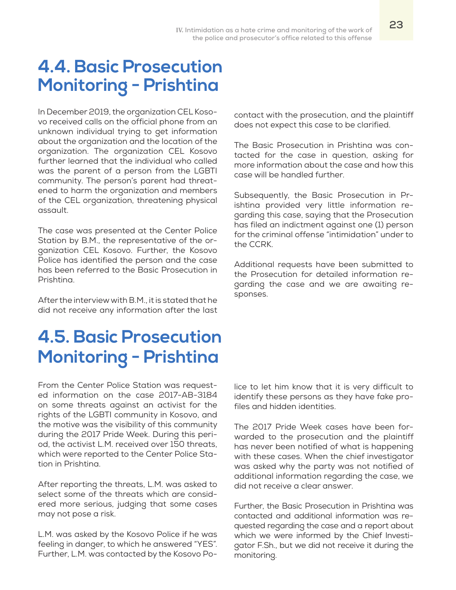## **4.4. Basic Prosecution Monitoring - Prishtina**

In December 2019, the organization CEL Kosovo received calls on the official phone from an unknown individual trying to get information about the organization and the location of the organization. The organization CEL Kosovo further learned that the individual who called was the parent of a person from the LGBTI community. The person's parent had threatened to harm the organization and members of the CEL organization, threatening physical assault.

The case was presented at the Center Police Station by B.M., the representative of the organization CEL Kosovo. Further, the Kosovo Police has identified the person and the case has been referred to the Basic Prosecution in Prishtina.

After the interview with B.M., it is stated that he did not receive any information after the last

## **4.5. Basic Prosecution Monitoring - Prishtina**

From the Center Police Station was requested information on the case 2017-AB-3184 on some threats against an activist for the rights of the LGBTI community in Kosovo, and the motive was the visibility of this community during the 2017 Pride Week. During this period, the activist L.M. received over 150 threats, which were reported to the Center Police Station in Prishtina.

After reporting the threats, L.M. was asked to select some of the threats which are considered more serious, judging that some cases may not pose a risk.

L.M. was asked by the Kosovo Police if he was feeling in danger, to which he answered "YES". Further, L.M. was contacted by the Kosovo Pocontact with the prosecution, and the plaintiff does not expect this case to be clarified.

The Basic Prosecution in Prishtina was contacted for the case in question, asking for more information about the case and how this case will be handled further.

Subsequently, the Basic Prosecution in Prishtina provided very little information regarding this case, saying that the Prosecution has filed an indictment against one (1) person for the criminal offense "intimidation" under to the CCRK.

Additional requests have been submitted to the Prosecution for detailed information regarding the case and we are awaiting responses.

lice to let him know that it is very difficult to identify these persons as they have fake profiles and hidden identities.

The 2017 Pride Week cases have been forwarded to the prosecution and the plaintiff has never been notified of what is happening with these cases. When the chief investigator was asked why the party was not notified of additional information regarding the case, we did not receive a clear answer.

Further, the Basic Prosecution in Prishtina was contacted and additional information was requested regarding the case and a report about which we were informed by the Chief Investigator F.Sh., but we did not receive it during the monitoring.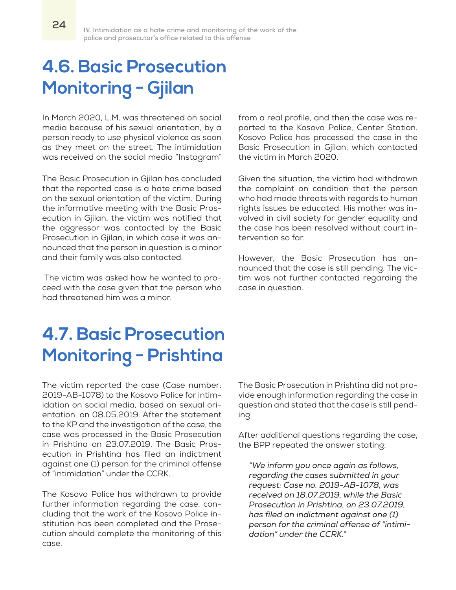# **4.6. Basic Prosecution Monitoring - Gjilan**

In March 2020, L.M. was threatened on social media because of his sexual orientation, by a person ready to use physical violence as soon as they meet on the street. The intimidation was received on the social media "Instagram"

The Basic Prosecution in Gjilan has concluded that the reported case is a hate crime based on the sexual orientation of the victim. During the informative meeting with the Basic Prosecution in Gjilan, the victim was notified that the aggressor was contacted by the Basic Prosecution in Gjilan, in which case it was announced that the person in question is a minor and their family was also contacted.

 The victim was asked how he wanted to proceed with the case given that the person who had threatened him was a minor.

from a real profile, and then the case was reported to the Kosovo Police, Center Station. Kosovo Police has processed the case in the Basic Prosecution in Gjilan, which contacted the victim in March 2020.

Given the situation, the victim had withdrawn the complaint on condition that the person who had made threats with regards to human rights issues be educated. His mother was involved in civil society for gender equality and the case has been resolved without court intervention so far.

However, the Basic Prosecution has announced that the case is still pending. The victim was not further contacted regarding the case in question.

# **4.7. Basic Prosecution Monitoring - Prishtina**

The victim reported the case (Case number: 2019-AB-1078) to the Kosovo Police for intimidation on social media, based on sexual orientation, on 08.05.2019. After the statement to the KP and the investigation of the case, the case was processed in the Basic Prosecution in Prishtina on 23.07.2019. The Basic Prosecution in Prishtina has filed an indictment against one (1) person for the criminal offense of "intimidation" under the CCRK.

The Kosovo Police has withdrawn to provide further information regarding the case, concluding that the work of the Kosovo Police institution has been completed and the Prosecution should complete the monitoring of this case.

The Basic Prosecution in Prishtina did not provide enough information regarding the case in question and stated that the case is still pending.

After additional questions regarding the case, the BPP repeated the answer stating:

*"We inform you once again as follows, regarding the cases submitted in your request: Case no. 2019-AB-1078, was received on 18.07.2019, while the Basic Prosecution in Prishtina, on 23.07.2019, has filed an indictment against one (1) person for the criminal offense of "intimidation" under the CCRK."*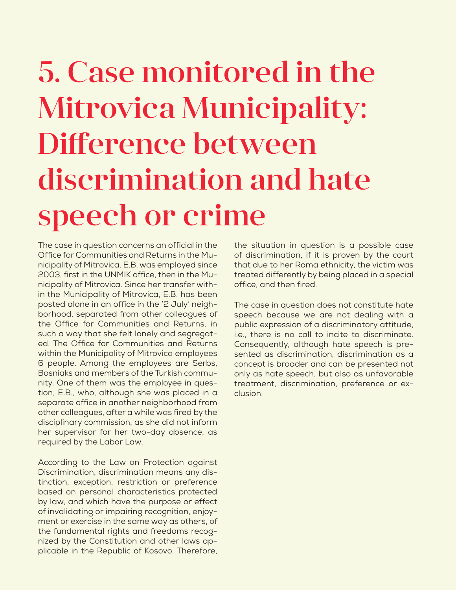# 5. Case monitored in the Mitrovica Municipality: Difference between discrimination and hate speech or crime

The case in question concerns an official in the Office for Communities and Returns in the Municipality of Mitrovica. E.B. was employed since 2003, first in the UNMIK office, then in the Municipality of Mitrovica. Since her transfer within the Municipality of Mitrovica, E.B. has been posted alone in an office in the '2 July' neighborhood, separated from other colleagues of the Office for Communities and Returns, in such a way that she felt lonely and segregated. The Office for Communities and Returns within the Municipality of Mitrovica employees 6 people. Among the employees are Serbs, Bosniaks and members of the Turkish community. One of them was the employee in question, E.B., who, although she was placed in a separate office in another neighborhood from other colleagues, after a while was fired by the disciplinary commission, as she did not inform her supervisor for her two-day absence, as required by the Labor Law.

According to the Law on Protection against Discrimination, discrimination means any distinction, exception, restriction or preference based on personal characteristics protected by law, and which have the purpose or effect of invalidating or impairing recognition, enjoyment or exercise in the same way as others, of the fundamental rights and freedoms recognized by the Constitution and other laws applicable in the Republic of Kosovo. Therefore,

the situation in question is a possible case of discrimination, if it is proven by the court that due to her Roma ethnicity, the victim was treated differently by being placed in a special office, and then fired.

The case in question does not constitute hate speech because we are not dealing with a public expression of a discriminatory attitude, i.e., there is no call to incite to discriminate. Consequently, although hate speech is presented as discrimination, discrimination as a concept is broader and can be presented not only as hate speech, but also as unfavorable treatment, discrimination, preference or exclusion.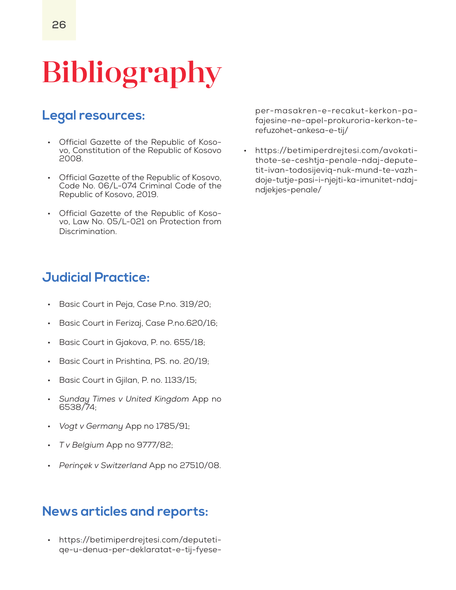# Bibliography

### **Legal resources:**

- Official Gazette of the Republic of Kosovo, Constitution of the Republic of Kosovo 2008.
- Official Gazette of the Republic of Kosovo, Code No. 06/L-074 Criminal Code of the Republic of Kosovo, 2019.
- Official Gazette of the Republic of Kosovo, Law No. 05/L-021 on Protection from Discrimination.

#### **Judicial Practice:**

- Basic Court in Peja, Case P.no. 319/20;
- Basic Court in Ferizaj, Case P.no.620/16;
- Basic Court in Gjakova, P. no. 655/18;
- Basic Court in Prishtina, PS. no. 20/19;
- Basic Court in Gjilan, P. no. 1133/15;
- *Sunday Times v United Kingdom* App no 6538/74;
- *Vogt v Germany* App no 1785/91;
- *T v Belgium* App no 9777/82;
- *Perinçek v Switzerland* App no 27510/08.

#### **News articles and reports:**

• https://betimiperdrejtesi.com/deputetiqe-u-denua-per-deklaratat-e-tij-fyeseper-masakren-e-recakut-kerkon-pafajesine-ne-apel-prokuroria-kerkon-terefuzohet-ankesa-e-tij/

• https://betimiperdrejtesi.com/avokatithote-se-ceshtja-penale-ndaj-deputetit-ivan-todosijeviq-nuk-mund-te-vazhdoje-tutje-pasi-i-njejti-ka-imunitet-ndajndjekjes-penale/